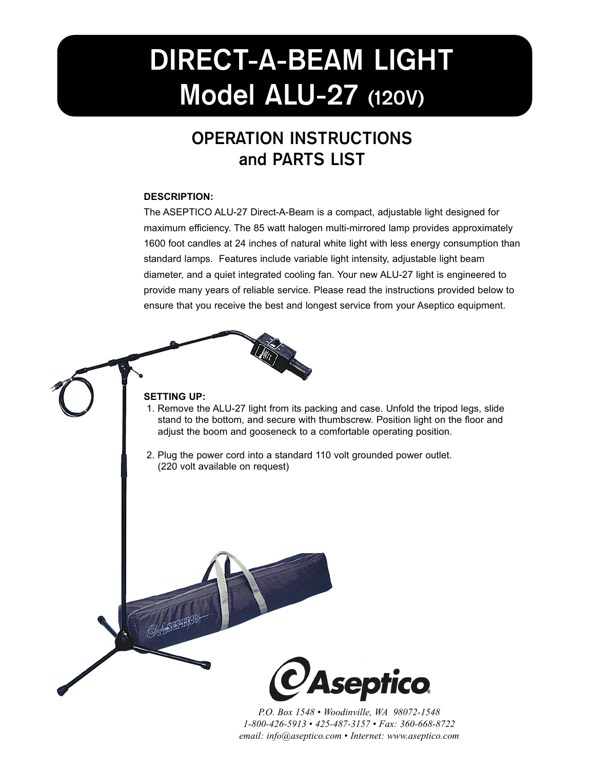# **DIRECT-A-BEAM LIGHT Model ALU-27 (120V)**

## **OPERATION INSTRUCTIONS and PARTS LIST**

#### **DESCRIPTION:**

The ASEPTICO ALU-27 Direct-A-Beam is a compact, adjustable light designed for maximum efficiency. The 85 watt halogen multi-mirrored lamp provides approximately 1600 foot candles at 24 inches of natural white light with less energy consumption than standard lamps. Features include variable light intensity, adjustable light beam diameter, and a quiet integrated cooling fan. Your new ALU-27 light is engineered to provide many years of reliable service. Please read the instructions provided below to ensure that you receive the best and longest service from your Aseptico equipment.



#### **SETTING UP:**

- 1. Remove the ALU-27 light from its packing and case. Unfold the tripod legs, slide stand to the bottom, and secure with thumbscrew. Position light on the floor and adjust the boom and gooseneck to a comfortable operating position.
- 2. Plug the power cord into a standard 110 volt grounded power outlet. (220 volt available on request)



*P.O. Box 1548 • Woodinville, WA 98072-1548 1-800-426-5913 • 425-487-3157 • Fax: 360-668-8722 email: info@aseptico.com • Internet: www.aseptico.com*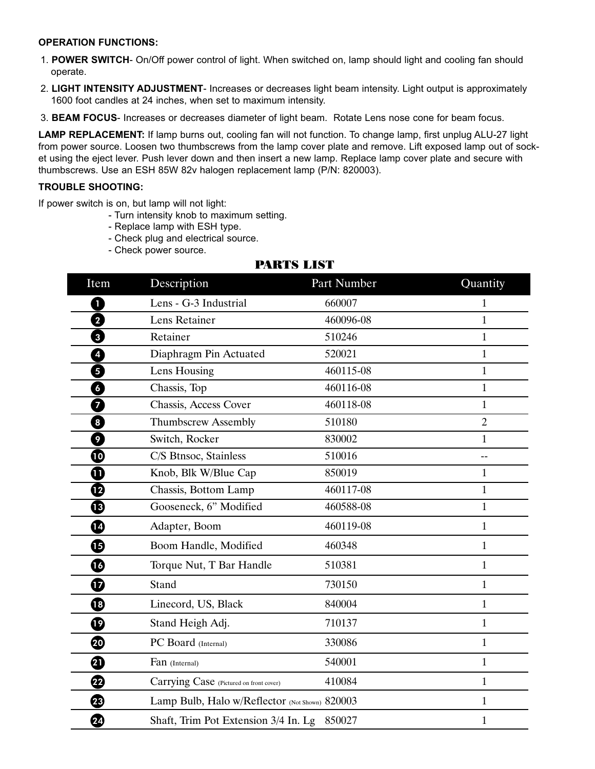#### **OPERATION FUNCTIONS:**

- 1. **POWER SWITCH** On/Off power control of light. When switched on, lamp should light and cooling fan should operate.
- 2. **LIGHT INTENSITY ADJUSTMENT** Increases or decreases light beam intensity. Light output is approximately 1600 foot candles at 24 inches, when set to maximum intensity.
- 3. **BEAM FOCUS** Increases or decreases diameter of light beam. Rotate Lens nose cone for beam focus.

**LAMP REPLACEMENT:** If lamp burns out, cooling fan will not function. To change lamp, first unplug ALU-27 light from power source. Loosen two thumbscrews from the lamp cover plate and remove. Lift exposed lamp out of socket using the eject lever. Push lever down and then insert a new lamp. Replace lamp cover plate and secure with thumbscrews. Use an ESH 85W 82v halogen replacement lamp (P/N: 820003).

#### **TROUBLE SHOOTING:**

If power switch is on, but lamp will not light:

- Turn intensity knob to maximum setting.
- Replace lamp with ESH type.
- Check plug and electrical source.
- Check power source.

#### PARTS LIST

| Item                | Description                                    | Part Number | Quantity       |
|---------------------|------------------------------------------------|-------------|----------------|
| 0                   | Lens - G-3 Industrial                          | 660007      | $\mathbf{1}$   |
| 0                   | Lens Retainer                                  | 460096-08   | 1              |
| 0                   | Retainer                                       | 510246      | 1              |
| 4                   | Diaphragm Pin Actuated                         | 520021      | 1              |
| 5                   | Lens Housing                                   | 460115-08   | $\mathbf{1}$   |
| 6                   | Chassis, Top                                   | 460116-08   | $\mathbf{1}$   |
| 7                   | Chassis, Access Cover                          | 460118-08   | $\mathbf{1}$   |
| 0                   | <b>Thumbscrew Assembly</b>                     | 510180      | $\overline{2}$ |
| 0                   | Switch, Rocker                                 | 830002      | $\mathbf{1}$   |
| $\boldsymbol{\Phi}$ | C/S Btnsoc, Stainless                          | 510016      | $-$            |
| ❶                   | Knob, Blk W/Blue Cap                           | 850019      | $\mathbf{1}$   |
| ⊕                   | Chassis, Bottom Lamp                           | 460117-08   | $\mathbf{1}$   |
| $\bf \Phi$          | Gooseneck, 6" Modified                         | 460588-08   | $\mathbf{1}$   |
| ◐                   | Adapter, Boom                                  | 460119-08   | $\mathbf{1}$   |
| ⊕                   | Boom Handle, Modified                          | 460348      | $\mathbf{1}$   |
| ❻                   | Torque Nut, T Bar Handle                       | 510381      | $\mathbf{1}$   |
| ⊕                   | <b>Stand</b>                                   | 730150      | $\mathbf{1}$   |
| ⊕                   | Linecord, US, Black                            | 840004      | $\mathbf{1}$   |
| $\boldsymbol \Phi$  | Stand Heigh Adj.                               | 710137      | 1              |
| ☜                   | PC Board (Internal)                            | 330086      | $\mathbf{1}$   |
| ❹                   | Fan (Internal)                                 | 540001      | $\mathbf{1}$   |
| ☎                   | Carrying Case (Pictured on front cover)        | 410084      | $\mathbf{1}$   |
| ®                   | Lamp Bulb, Halo w/Reflector (Not Shown) 820003 |             | $\mathbf{1}$   |
| 4                   | Shaft, Trim Pot Extension 3/4 In. Lg           | 850027      | $\mathbf{1}$   |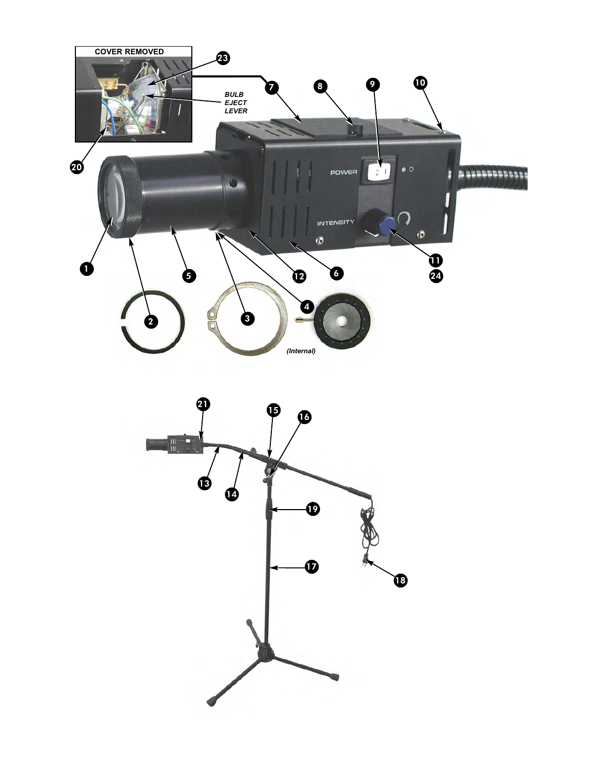